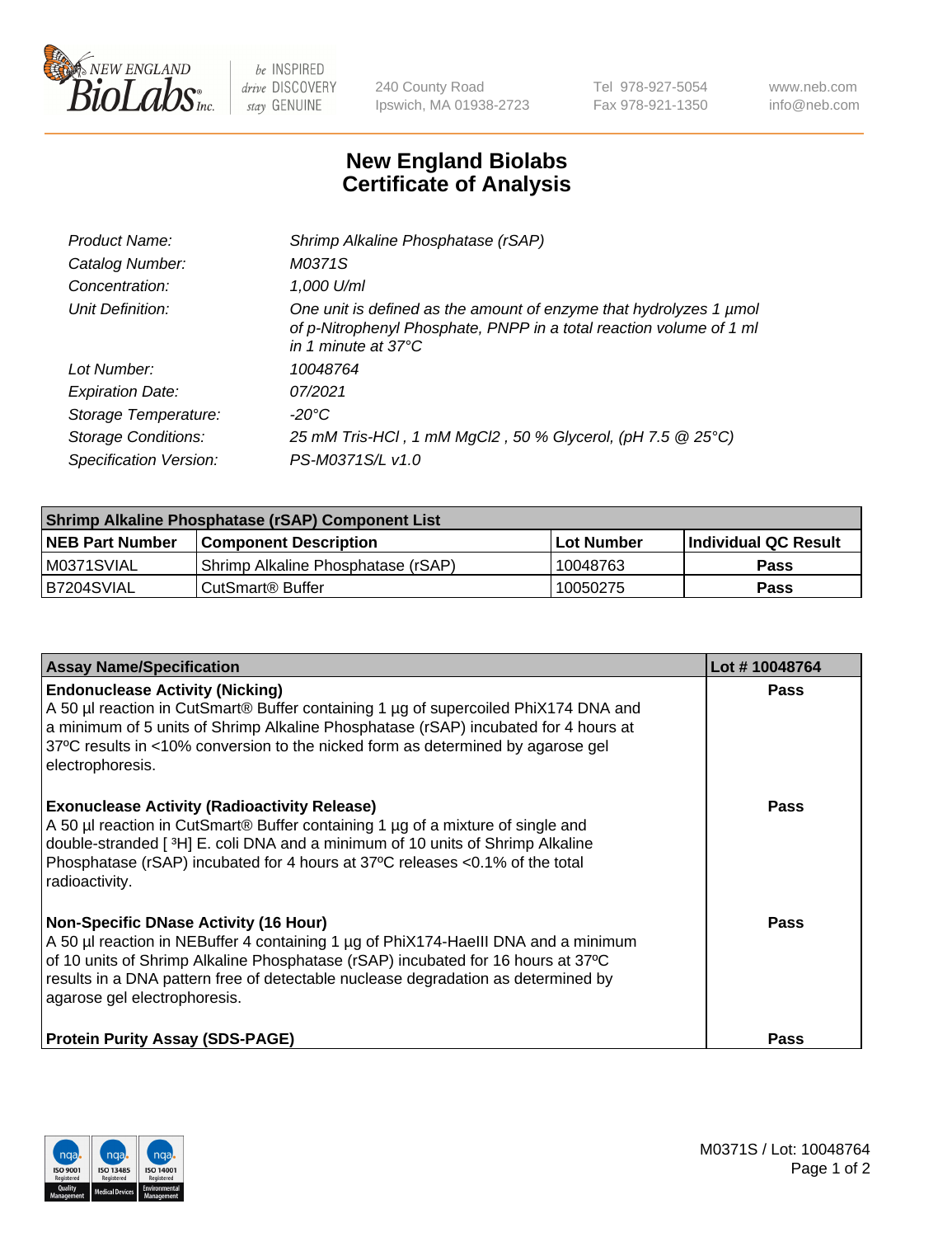

 $be$  INSPIRED drive DISCOVERY stay GENUINE

240 County Road Ipswich, MA 01938-2723 Tel 978-927-5054 Fax 978-921-1350 www.neb.com info@neb.com

## **New England Biolabs Certificate of Analysis**

| Product Name:              | Shrimp Alkaline Phosphatase (rSAP)                                                                                                                                         |
|----------------------------|----------------------------------------------------------------------------------------------------------------------------------------------------------------------------|
| Catalog Number:            | M0371S                                                                                                                                                                     |
| Concentration:             | 1,000 U/ml                                                                                                                                                                 |
| Unit Definition:           | One unit is defined as the amount of enzyme that hydrolyzes 1 µmol<br>of p-Nitrophenyl Phosphate, PNPP in a total reaction volume of 1 ml<br>in 1 minute at $37^{\circ}$ C |
| Lot Number:                | 10048764                                                                                                                                                                   |
| <b>Expiration Date:</b>    | 07/2021                                                                                                                                                                    |
| Storage Temperature:       | $-20^{\circ}$ C                                                                                                                                                            |
| <b>Storage Conditions:</b> | 25 mM Tris-HCl, 1 mM MgCl2, 50 % Glycerol, (pH 7.5 @ 25°C)                                                                                                                 |
| Specification Version:     | PS-M0371S/L v1.0                                                                                                                                                           |

| Shrimp Alkaline Phosphatase (rSAP) Component List |                                    |              |                      |  |  |
|---------------------------------------------------|------------------------------------|--------------|----------------------|--|--|
| <b>NEB Part Number</b>                            | <b>Component Description</b>       | l Lot Number | Individual QC Result |  |  |
| IM0371SVIAL                                       | Shrimp Alkaline Phosphatase (rSAP) | 10048763     | <b>Pass</b>          |  |  |
| B7204SVIAL                                        | CutSmart® Buffer                   | 10050275     | Pass                 |  |  |

| <b>Assay Name/Specification</b>                                                                                                                                                                                                                                                                                                             | Lot #10048764 |
|---------------------------------------------------------------------------------------------------------------------------------------------------------------------------------------------------------------------------------------------------------------------------------------------------------------------------------------------|---------------|
| <b>Endonuclease Activity (Nicking)</b><br>A 50 µl reaction in CutSmart® Buffer containing 1 µg of supercoiled PhiX174 DNA and<br>a minimum of 5 units of Shrimp Alkaline Phosphatase (rSAP) incubated for 4 hours at<br>37°C results in <10% conversion to the nicked form as determined by agarose gel<br>electrophoresis.                 | <b>Pass</b>   |
| <b>Exonuclease Activity (Radioactivity Release)</b><br>A 50 µl reaction in CutSmart® Buffer containing 1 µg of a mixture of single and<br>double-stranded [3H] E. coli DNA and a minimum of 10 units of Shrimp Alkaline<br>Phosphatase (rSAP) incubated for 4 hours at 37°C releases <0.1% of the total<br>radioactivity.                   | <b>Pass</b>   |
| <b>Non-Specific DNase Activity (16 Hour)</b><br>A 50 µl reaction in NEBuffer 4 containing 1 µg of PhiX174-HaellI DNA and a minimum<br>of 10 units of Shrimp Alkaline Phosphatase (rSAP) incubated for 16 hours at 37°C<br>results in a DNA pattern free of detectable nuclease degradation as determined by<br>agarose gel electrophoresis. | Pass          |
| <b>Protein Purity Assay (SDS-PAGE)</b>                                                                                                                                                                                                                                                                                                      | <b>Pass</b>   |